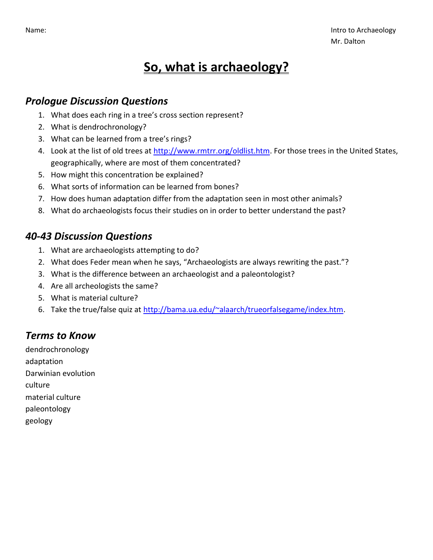# **So, what is archaeology?**

#### *Prologue Discussion Questions*

- 1. What does each ring in a tree's cross section represent?
- 2. What is dendrochronology?
- 3. What can be learned from a tree's rings?
- 4. Look at the list of old trees at [http://www.rmtrr.org/oldlist.htm.](http://www.rmtrr.org/oldlist.htm) For those trees in the United States, geographically, where are most of them concentrated?
- 5. How might this concentration be explained?
- 6. What sorts of information can be learned from bones?
- 7. How does human adaptation differ from the adaptation seen in most other animals?
- 8. What do archaeologists focus their studies on in order to better understand the past?

#### *40-43 Discussion Questions*

- 1. What are archaeologists attempting to do?
- 2. What does Feder mean when he says, "Archaeologists are always rewriting the past."?
- 3. What is the difference between an archaeologist and a paleontologist?
- 4. Are all archeologists the same?
- 5. What is material culture?
- 6. Take the true/false quiz at [http://bama.ua.edu/~alaarch/trueorfalsegame/index.htm.](http://bama.ua.edu/~alaarch/trueorfalsegame/index.htm)

## *Terms to Know*

dendrochronology adaptation Darwinian evolution culture material culture paleontology geology